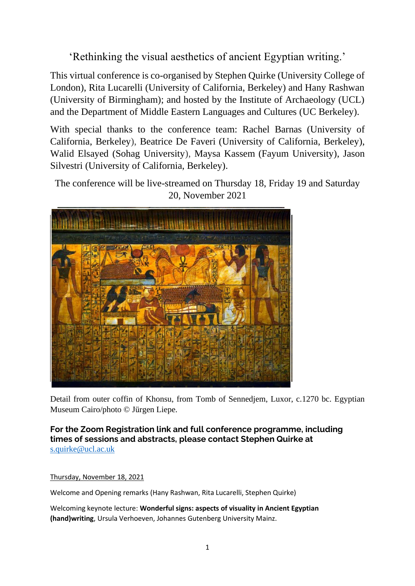'Rethinking the visual aesthetics of ancient Egyptian writing.'

This virtual conference is co-organised by Stephen Quirke (University College of London), Rita Lucarelli (University of California, Berkeley) and Hany Rashwan (University of Birmingham); and hosted by the Institute of Archaeology (UCL) and the Department of Middle Eastern Languages and Cultures (UC Berkeley).

With special thanks to the conference team: Rachel Barnas (University of California, Berkeley), Beatrice De Faveri (University of California, Berkeley), Walid Elsayed (Sohag University), Maysa Kassem (Fayum University), Jason Silvestri (University of California, Berkeley).

The conference will be live-streamed on Thursday 18, Friday 19 and Saturday 20, November 2021



Detail from outer coffin of Khonsu, from Tomb of Sennedjem, Luxor, c.1270 bc. Egyptian Museum Cairo/photo © Jürgen Liepe.

**For the Zoom Registration link and full conference programme, including times of sessions and abstracts, please contact Stephen Quirke at**  [s.quirke@ucl.ac.uk](mailto:s.quirke@ucl.ac.uk)

## Thursday, November 18, 2021

Welcome and Opening remarks (Hany Rashwan, Rita Lucarelli, Stephen Quirke)

Welcoming keynote lecture: **Wonderful signs: aspects of visuality in Ancient Egyptian (hand)writing**, Ursula Verhoeven, Johannes Gutenberg University Mainz.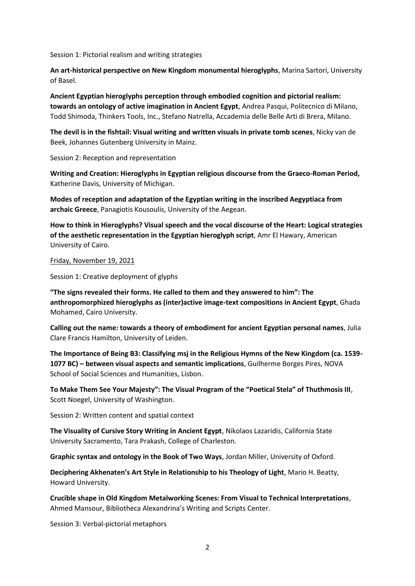Session 1: Pictorial realism and writing strategies

**An art-historical perspective on New Kingdom monumental hieroglyphs**, Marina Sartori, University of Basel.

**Ancient Egyptian hieroglyphs perception through embodied cognition and pictorial realism: towards an ontology of active imagination in Ancient Egypt**, Andrea Pasqui, Politecnico di Milano, Todd Shimoda, Thinkers Tools, Inc., Stefano Natrella, Accademia delle Belle Arti di Brera, Milano.

**The devil is in the fishtail: Visual writing and written visuals in private tomb scenes**, Nicky van de Beek, Johannes Gutenberg University in Mainz.

Session 2: Reception and representation

**Writing and Creation: Hieroglyphs in Egyptian religious discourse from the Graeco-Roman Period,** Katherine Davis, University of Michigan.

**Modes of reception and adaptation of the Egyptian writing in the inscribed Aegyptiaca from archaic Greece**, Panagiotis Kousoulis, University of the Aegean.

**How to think in Hieroglyphs? Visual speech and the vocal discourse of the Heart: Logical strategies of the aesthetic representation in the Egyptian hieroglyph script**, Amr El Hawary, American University of Cairo.

## Friday, November 19, 2021

Session 1: Creative deployment of glyphs

**"The signs revealed their forms. He called to them and they answered to him": The anthropomorphized hieroglyphs as (inter)active image-text compositions in Ancient Egypt**, Ghada Mohamed, Cairo University.

**Calling out the name: towards a theory of embodiment for ancient Egyptian personal names**, Julia Clare Francis Hamilton, University of Leiden.

**The Importance of Being B3: Classifying msj in the Religious Hymns of the New Kingdom (ca. 1539- 1077 BC) – between visual aspects and semantic implications**, Guilherme Borges Pires, NOVA School of Social Sciences and Humanities, Lisbon.

**To Make Them See Your Majesty": The Visual Program of the "Poetical Stela" of Thuthmosis III**, Scott Noegel, University of Washington.

Session 2: Written content and spatial context

**The Visuality of Cursive Story Writing in Ancient Egypt**, Nikolaos Lazaridis, California State University Sacramento, Tara Prakash, College of Charleston.

**Graphic syntax and ontology in the Book of Two Ways**, Jordan Miller, University of Oxford.

**Deciphering Akhenaten's Art Style in Relationship to his Theology of Light**, Mario H. Beatty, Howard University.

**Crucible shape in Old Kingdom Metalworking Scenes: From Visual to Technical Interpretations**, Ahmed Mansour, Bibliotheca Alexandrina's Writing and Scripts Center.

Session 3: Verbal-pictorial metaphors